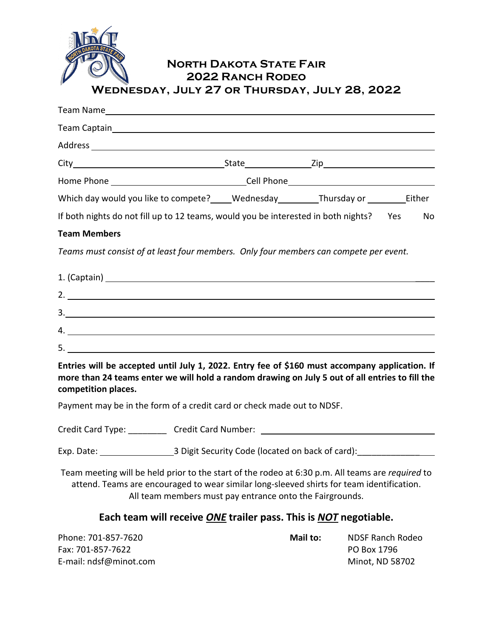

# North Dakota State Fair 2022 Ranch Rodeo Wednesday, July 27 or Thursday, July 28, 2022

| Which day would you like to compete? _____ Wednesday __________ Thursday or ___________ Either                                                                                                                                                                   |          |                                                           |    |
|------------------------------------------------------------------------------------------------------------------------------------------------------------------------------------------------------------------------------------------------------------------|----------|-----------------------------------------------------------|----|
| If both nights do not fill up to 12 teams, would you be interested in both nights? Yes                                                                                                                                                                           |          |                                                           | No |
| <b>Team Members</b>                                                                                                                                                                                                                                              |          |                                                           |    |
| Teams must consist of at least four members. Only four members can compete per event.                                                                                                                                                                            |          |                                                           |    |
|                                                                                                                                                                                                                                                                  |          |                                                           |    |
|                                                                                                                                                                                                                                                                  |          |                                                           |    |
| $3.$ $\overline{\phantom{a}}$                                                                                                                                                                                                                                    |          |                                                           |    |
| 4.                                                                                                                                                                                                                                                               |          |                                                           |    |
|                                                                                                                                                                                                                                                                  |          |                                                           |    |
| Entries will be accepted until July 1, 2022. Entry fee of \$160 must accompany application. If<br>more than 24 teams enter we will hold a random drawing on July 5 out of all entries to fill the<br>competition places.                                         |          |                                                           |    |
| Payment may be in the form of a credit card or check made out to NDSF.                                                                                                                                                                                           |          |                                                           |    |
| Credit Card Type: ____________ Credit Card Number: _____________________________                                                                                                                                                                                 |          |                                                           |    |
|                                                                                                                                                                                                                                                                  |          |                                                           |    |
| Team meeting will be held prior to the start of the rodeo at 6:30 p.m. All teams are <i>required</i> to<br>attend. Teams are encouraged to wear similar long-sleeved shirts for team identification.<br>All team members must pay entrance onto the Fairgrounds. |          |                                                           |    |
| Each team will receive ONE trailer pass. This is NOT negotiable.                                                                                                                                                                                                 |          |                                                           |    |
| Phone: 701-857-7620<br>Fax: 701-857-7622<br>E-mail: ndsf@minot.com                                                                                                                                                                                               | Mail to: | <b>NDSF Ranch Rodeo</b><br>PO Box 1796<br>Minot, ND 58702 |    |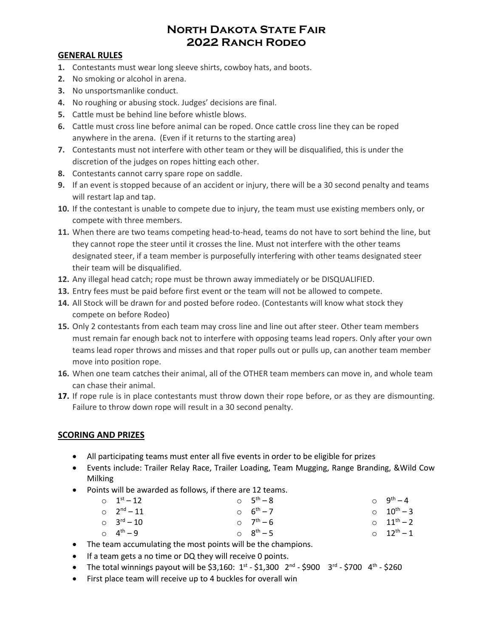## North Dakota State Fair 2022 Ranch Rodeo

#### **GENERAL RULES**

- **1.** Contestants must wear long sleeve shirts, cowboy hats, and boots.
- **2.** No smoking or alcohol in arena.
- **3.** No unsportsmanlike conduct.
- **4.** No roughing or abusing stock. Judges' decisions are final.
- **5.** Cattle must be behind line before whistle blows.
- **6.** Cattle must cross line before animal can be roped. Once cattle cross line they can be roped anywhere in the arena. (Even if it returns to the starting area)
- **7.** Contestants must not interfere with other team or they will be disqualified, this is under the discretion of the judges on ropes hitting each other.
- **8.** Contestants cannot carry spare rope on saddle.
- **9.** If an event is stopped because of an accident or injury, there will be a 30 second penalty and teams will restart lap and tap.
- **10.** If the contestant is unable to compete due to injury, the team must use existing members only, or compete with three members.
- **11.** When there are two teams competing head-to-head, teams do not have to sort behind the line, but they cannot rope the steer until it crosses the line. Must not interfere with the other teams designated steer, if a team member is purposefully interfering with other teams designated steer their team will be disqualified.
- **12.** Any illegal head catch; rope must be thrown away immediately or be DISQUALIFIED.
- **13.** Entry fees must be paid before first event or the team will not be allowed to compete.
- **14.** All Stock will be drawn for and posted before rodeo. (Contestants will know what stock they compete on before Rodeo)
- **15.** Only 2 contestants from each team may cross line and line out after steer. Other team members must remain far enough back not to interfere with opposing teams lead ropers. Only after your own teams lead roper throws and misses and that roper pulls out or pulls up, can another team member move into position rope.
- **16.** When one team catches their animal, all of the OTHER team members can move in, and whole team can chase their animal.
- **17.** If rope rule is in place contestants must throw down their rope before, or as they are dismounting. Failure to throw down rope will result in a 30 second penalty.

#### **SCORING AND PRIZES**

- All participating teams must enter all five events in order to be eligible for prizes
- Events include: Trailer Relay Race, Trailer Loading, Team Mugging, Range Branding, &Wild Cow Milking
- Points will be awarded as follows, if there are 12 teams.

| $0 \t 1^{st} - 12$ | $0 \t 5^{th} - 8$ | $0 \t 9^{th} - 4$  |
|--------------------|-------------------|--------------------|
| $0 \t 2^{nd} - 11$ | $0 6^{th} - 7$    | $0 \t 10^{th} - 3$ |
| $0 \t 3^{rd} - 10$ | $0 \t 7^{th} - 6$ | $0 \t 11^{th} - 2$ |
| $0 \t 4^{th} - 9$  | $0 \t 8^{th} - 5$ | $0 \t 12^{th} - 1$ |

- The team accumulating the most points will be the champions.
- If a team gets a no time or DQ they will receive 0 points.
- The total winnings payout will be \$3,160:  $1^{st}$  \$1,300  $2^{nd}$  \$900  $3^{rd}$  \$700  $4^{th}$  \$260
- First place team will receive up to 4 buckles for overall win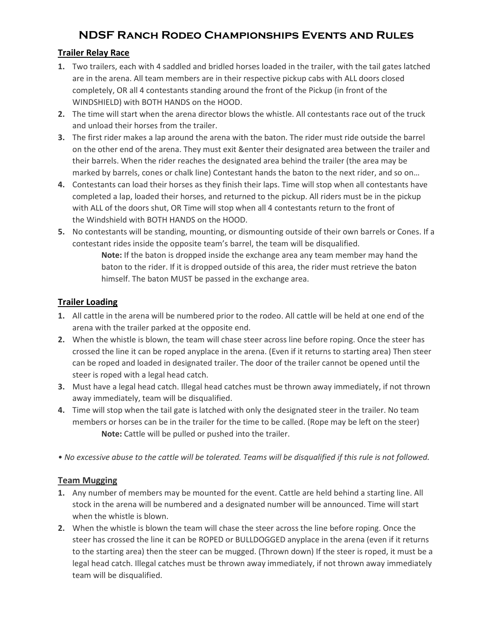# NDSF Ranch Rodeo Championships Events and Rules

#### **Trailer Relay Race**

- **1.** Two trailers, each with 4 saddled and bridled horses loaded in the trailer, with the tail gates latched are in the arena. All team members are in their respective pickup cabs with ALL doors closed completely, OR all 4 contestants standing around the front of the Pickup (in front of the WINDSHIELD) with BOTH HANDS on the HOOD.
- **2.** The time will start when the arena director blows the whistle. All contestants race out of the truck and unload their horses from the trailer.
- **3.** The first rider makes a lap around the arena with the baton. The rider must ride outside the barrel on the other end of the arena. They must exit &enter their designated area between the trailer and their barrels. When the rider reaches the designated area behind the trailer (the area may be marked by barrels, cones or chalk line) Contestant hands the baton to the next rider, and so on…
- **4.** Contestants can load their horses as they finish their laps. Time will stop when all contestants have completed a lap, loaded their horses, and returned to the pickup. All riders must be in the pickup with ALL of the doors shut, OR Time will stop when all 4 contestants return to the front of the Windshield with BOTH HANDS on the HOOD.
- **5.** No contestants will be standing, mounting, or dismounting outside of their own barrels or Cones. If a contestant rides inside the opposite team's barrel, the team will be disqualified.

**Note:** If the baton is dropped inside the exchange area any team member may hand the baton to the rider. If it is dropped outside of this area, the rider must retrieve the baton himself. The baton MUST be passed in the exchange area.

#### **Trailer Loading**

- **1.** All cattle in the arena will be numbered prior to the rodeo. All cattle will be held at one end of the arena with the trailer parked at the opposite end.
- **2.** When the whistle is blown, the team will chase steer across line before roping. Once the steer has crossed the line it can be roped anyplace in the arena. (Even if it returns to starting area) Then steer can be roped and loaded in designated trailer. The door of the trailer cannot be opened until the steer is roped with a legal head catch.
- **3.** Must have a legal head catch. Illegal head catches must be thrown away immediately, if not thrown away immediately, team will be disqualified.
- **4.** Time will stop when the tail gate is latched with only the designated steer in the trailer. No team members or horses can be in the trailer for the time to be called. (Rope may be left on the steer) **Note:** Cattle will be pulled or pushed into the trailer.
- *No excessive abuse to the cattle will be tolerated. Teams will be disqualified if this rule is not followed.*

#### **Team Mugging**

- **1.** Any number of members may be mounted for the event. Cattle are held behind a starting line. All stock in the arena will be numbered and a designated number will be announced. Time will start when the whistle is blown.
- **2.** When the whistle is blown the team will chase the steer across the line before roping. Once the steer has crossed the line it can be ROPED or BULLDOGGED anyplace in the arena (even if it returns to the starting area) then the steer can be mugged. (Thrown down) If the steer is roped, it must be a legal head catch. Illegal catches must be thrown away immediately, if not thrown away immediately team will be disqualified.